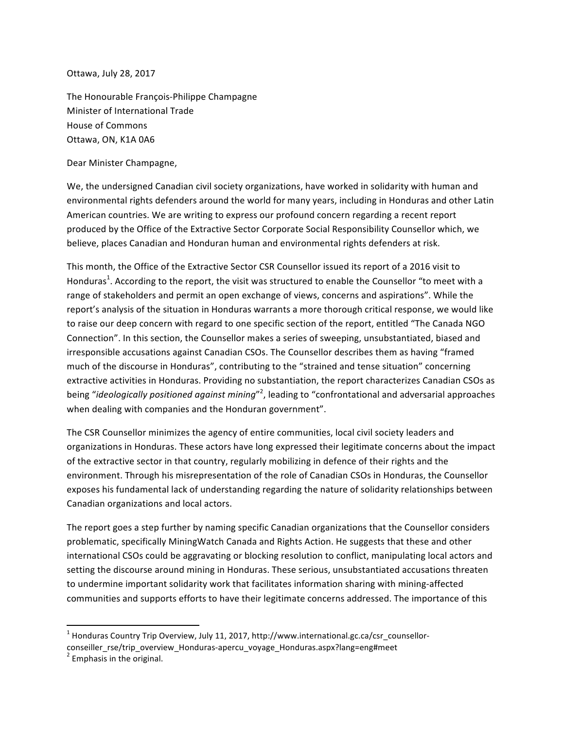Ottawa, July 28, 2017

The Honourable François-Philippe Champagne Minister of International Trade House of Commons Ottawa, ON, K1A 0A6

Dear Minister Champagne,

We, the undersigned Canadian civil society organizations, have worked in solidarity with human and environmental rights defenders around the world for many years, including in Honduras and other Latin American countries. We are writing to express our profound concern regarding a recent report produced by the Office of the Extractive Sector Corporate Social Responsibility Counsellor which, we believe, places Canadian and Honduran human and environmental rights defenders at risk.

This month, the Office of the Extractive Sector CSR Counsellor issued its report of a 2016 visit to Honduras<sup>1</sup>. According to the report, the visit was structured to enable the Counsellor "to meet with a range of stakeholders and permit an open exchange of views, concerns and aspirations". While the report's analysis of the situation in Honduras warrants a more thorough critical response, we would like to raise our deep concern with regard to one specific section of the report, entitled "The Canada NGO Connection". In this section, the Counsellor makes a series of sweeping, unsubstantiated, biased and irresponsible accusations against Canadian CSOs. The Counsellor describes them as having "framed much of the discourse in Honduras", contributing to the "strained and tense situation" concerning extractive activities in Honduras. Providing no substantiation, the report characterizes Canadian CSOs as being "*ideologically positioned against mining*"<sup>2</sup>, leading to "confrontational and adversarial approaches when dealing with companies and the Honduran government".

The CSR Counsellor minimizes the agency of entire communities, local civil society leaders and organizations in Honduras. These actors have long expressed their legitimate concerns about the impact of the extractive sector in that country, regularly mobilizing in defence of their rights and the environment. Through his misrepresentation of the role of Canadian CSOs in Honduras, the Counsellor exposes his fundamental lack of understanding regarding the nature of solidarity relationships between Canadian organizations and local actors.

The report goes a step further by naming specific Canadian organizations that the Counsellor considers problematic, specifically MiningWatch Canada and Rights Action. He suggests that these and other international CSOs could be aggravating or blocking resolution to conflict, manipulating local actors and setting the discourse around mining in Honduras. These serious, unsubstantiated accusations threaten to undermine important solidarity work that facilitates information sharing with mining-affected communities and supports efforts to have their legitimate concerns addressed. The importance of this

 

 $<sup>1</sup>$  Honduras Country Trip Overview, July 11, 2017, http://www.international.gc.ca/csr\_counsellor-</sup> conseiller\_rse/trip\_overview\_Honduras-apercu\_voyage\_Honduras.aspx?lang=eng#meet  $2^2$  Emphasis in the original.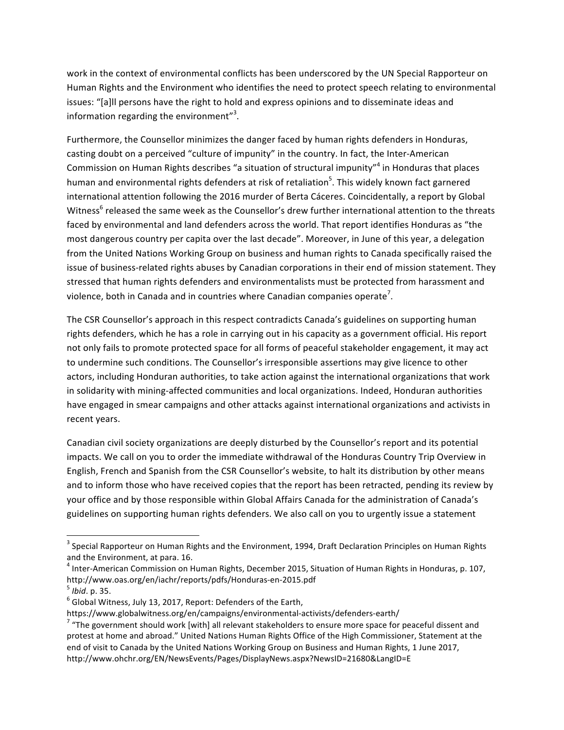work in the context of environmental conflicts has been underscored by the UN Special Rapporteur on Human Rights and the Environment who identifies the need to protect speech relating to environmental issues: "[a]ll persons have the right to hold and express opinions and to disseminate ideas and information regarding the environment"<sup>3</sup>.

Furthermore, the Counsellor minimizes the danger faced by human rights defenders in Honduras, casting doubt on a perceived "culture of impunity" in the country. In fact, the Inter-American Commission on Human Rights describes "a situation of structural impunity"<sup>4</sup> in Honduras that places human and environmental rights defenders at risk of retaliation<sup>5</sup>. This widely known fact garnered international attention following the 2016 murder of Berta Cáceres. Coincidentally, a report by Global Witness<sup>6</sup> released the same week as the Counsellor's drew further international attention to the threats faced by environmental and land defenders across the world. That report identifies Honduras as "the most dangerous country per capita over the last decade". Moreover, in June of this year, a delegation from the United Nations Working Group on business and human rights to Canada specifically raised the issue of business-related rights abuses by Canadian corporations in their end of mission statement. They stressed that human rights defenders and environmentalists must be protected from harassment and violence, both in Canada and in countries where Canadian companies operate<sup>7</sup>.

The CSR Counsellor's approach in this respect contradicts Canada's guidelines on supporting human rights defenders, which he has a role in carrying out in his capacity as a government official. His report not only fails to promote protected space for all forms of peaceful stakeholder engagement, it may act to undermine such conditions. The Counsellor's irresponsible assertions may give licence to other actors, including Honduran authorities, to take action against the international organizations that work in solidarity with mining-affected communities and local organizations. Indeed, Honduran authorities have engaged in smear campaigns and other attacks against international organizations and activists in recent years.

Canadian civil society organizations are deeply disturbed by the Counsellor's report and its potential impacts. We call on you to order the immediate withdrawal of the Honduras Country Trip Overview in English, French and Spanish from the CSR Counsellor's website, to halt its distribution by other means and to inform those who have received copies that the report has been retracted, pending its review by your office and by those responsible within Global Affairs Canada for the administration of Canada's guidelines on supporting human rights defenders. We also call on you to urgently issue a statement

 

 $3$  Special Rapporteur on Human Rights and the Environment, 1994, Draft Declaration Principles on Human Rights and the Environment, at para. 16.

 $^4$  Inter-American Commission on Human Rights, December 2015, Situation of Human Rights in Honduras, p. 107, http://www.oas.org/en/iachr/reports/pdfs/Honduras-en-2015.pdf<br><sup>5</sup> *Ibid*. p. 35.<br><sup>6</sup> Global Witness, July 13, 2017, Report: Defenders of the Earth,

https://www.globalwitness.org/en/campaigns/environmental-activists/defenders-earth/<br><sup>7</sup> "The government should work [with] all relevant stakeholders to ensure more space for peaceful dissent and protest at home and abroad." United Nations Human Rights Office of the High Commissioner, Statement at the end of visit to Canada by the United Nations Working Group on Business and Human Rights, 1 June 2017, http://www.ohchr.org/EN/NewsEvents/Pages/DisplayNews.aspx?NewsID=21680&LangID=E